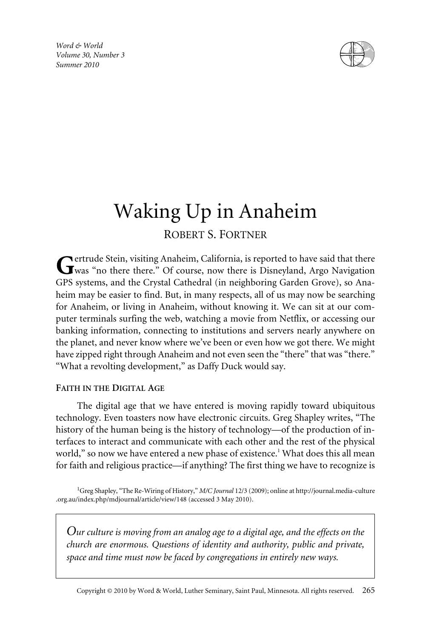*Word & World Volume 30, Number 3 Summer 2010*



# Waking Up in Anaheim

# ROBERT S. FORTNER

**Pertrude Stein, visiting Anaheim, California, is reported to have said that there** Weittude Stein, Visting Ammerica, 5-1<br>Was "no there there." Of course, now there is Disneyland, Argo Navigation GPS systems, and the Crystal Cathedral (in neighboring Garden Grove), so Anaheim may be easier to find. But, in many respects, all of us may now be searching for Anaheim, or living in Anaheim, without knowing it. We can sit at our computer terminals surfing the web, watching a movie from Netflix, or accessing our banking information, connecting to institutions and servers nearly anywhere on the planet, and never know where we've been or even how we got there. We might have zipped right through Anaheim and not even seen the "there" that was "there." "What a revolting development," as Daffy Duck would say.

## **FAITH IN THE DIGITAL AGE**

The digital age that we have entered is moving rapidly toward ubiquitous technology. Even toasters now have electronic circuits. Greg Shapley writes, "The history of the human being is the history of technology—of the production of interfaces to interact and communicate with each other and the rest of the physical world," so now we have entered a new phase of existence.<sup>1</sup> What does this all mean for faith and religious practice—if anything? The first thing we have to recognize is

1 Greg Shapley, "The Re-Wiring of History," *M/C Journal* 12/3 (2009); online at http://journal.media-culture .org.au/index.php/mdjournal/article/view/148 (accessed 3 May 2010).

*Our culture is moving from an analog age to a digital age, and the effects on the church are enormous. Questions of identity and authority, public and private, space and time must now be faced by congregations in entirely new ways.*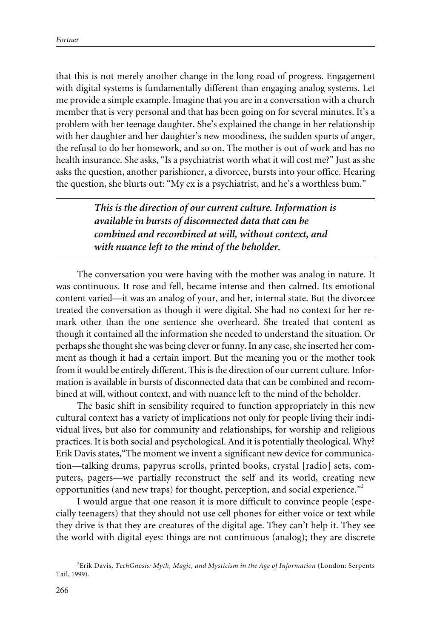that this is not merely another change in the long road of progress. Engagement with digital systems is fundamentally different than engaging analog systems. Let me provide a simple example. Imagine that you are in a conversation with a church member that is very personal and that has been going on for several minutes. It's a problem with her teenage daughter. She's explained the change in her relationship with her daughter and her daughter's new moodiness, the sudden spurts of anger, the refusal to do her homework, and so on. The mother is out of work and has no health insurance. She asks, "Is a psychiatrist worth what it will cost me?" Just as she asks the question, another parishioner, a divorcee, bursts into your office. Hearing the question, she blurts out: "My ex is a psychiatrist, and he's a worthless bum."

> *This is the direction of our current culture. Information is available in bursts of disconnected data that can be combined and recombined at will, without context, and with nuance left to the mind of the beholder.*

The conversation you were having with the mother was analog in nature. It was continuous. It rose and fell, became intense and then calmed. Its emotional content varied—it was an analog of your, and her, internal state. But the divorcee treated the conversation as though it were digital. She had no context for her remark other than the one sentence she overheard. She treated that content as though it contained all the information she needed to understand the situation. Or perhaps she thought she was being clever or funny. In any case, she inserted her comment as though it had a certain import. But the meaning you or the mother took from it would be entirely different. This is the direction of our current culture. Information is available in bursts of disconnected data that can be combined and recombined at will, without context, and with nuance left to the mind of the beholder.

The basic shift in sensibility required to function appropriately in this new cultural context has a variety of implications not only for people living their individual lives, but also for community and relationships, for worship and religious practices. It is both social and psychological. And it is potentially theological. Why? Erik Davis states,"The moment we invent a significant new device for communication—talking drums, papyrus scrolls, printed books, crystal [radio] sets, computers, pagers—we partially reconstruct the self and its world, creating new opportunities (and new traps) for thought, perception, and social experience. $^{\prime\prime\prime}$ 

I would argue that one reason it is more difficult to convince people (especially teenagers) that they should not use cell phones for either voice or text while they drive is that they are creatures of the digital age. They can't help it. They see the world with digital eyes: things are not continuous (analog); they are discrete

<sup>2</sup> Erik Davis, *TechGnosis: Myth, Magic, and Mysticism in the Age of Information* (London: Serpents Tail, 1999).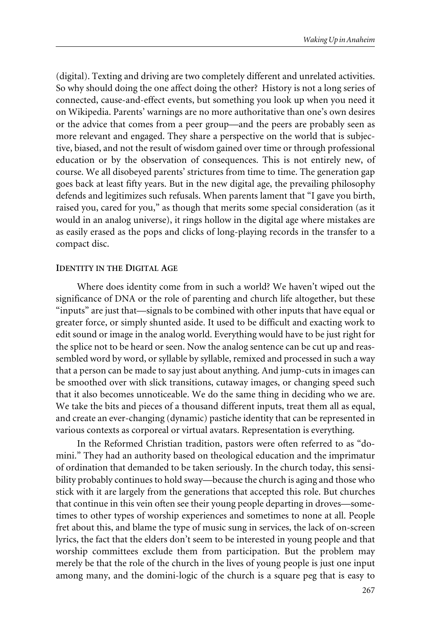(digital). Texting and driving are two completely different and unrelated activities. So why should doing the one affect doing the other? History is not a long series of connected, cause-and-effect events, but something you look up when you need it on Wikipedia. Parents' warnings are no more authoritative than one's own desires or the advice that comes from a peer group—and the peers are probably seen as more relevant and engaged. They share a perspective on the world that is subjective, biased, and not the result of wisdom gained over time or through professional education or by the observation of consequences. This is not entirely new, of course. We all disobeyed parents' strictures from time to time. The generation gap goes back at least fifty years. But in the new digital age, the prevailing philosophy defends and legitimizes such refusals. When parents lament that "I gave you birth, raised you, cared for you," as though that merits some special consideration (as it would in an analog universe), it rings hollow in the digital age where mistakes are as easily erased as the pops and clicks of long-playing records in the transfer to a compact disc.

#### **IDENTITY IN THE DIGITAL AGE**

Where does identity come from in such a world? We haven't wiped out the significance of DNA or the role of parenting and church life altogether, but these "inputs" are just that—signals to be combined with other inputs that have equal or greater force, or simply shunted aside. It used to be difficult and exacting work to edit sound or image in the analog world. Everything would have to be just right for the splice not to be heard or seen. Now the analog sentence can be cut up and reassembled word by word, or syllable by syllable, remixed and processed in such a way that a person can be made to say just about anything. And jump-cuts in images can be smoothed over with slick transitions, cutaway images, or changing speed such that it also becomes unnoticeable. We do the same thing in deciding who we are. We take the bits and pieces of a thousand different inputs, treat them all as equal, and create an ever-changing (dynamic) pastiche identity that can be represented in various contexts as corporeal or virtual avatars. Representation is everything.

In the Reformed Christian tradition, pastors were often referred to as "domini." They had an authority based on theological education and the imprimatur of ordination that demanded to be taken seriously. In the church today, this sensibility probably continues to hold sway—because the church is aging and those who stick with it are largely from the generations that accepted this role. But churches that continue in this vein often see their young people departing in droves—sometimes to other types of worship experiences and sometimes to none at all. People fret about this, and blame the type of music sung in services, the lack of on-screen lyrics, the fact that the elders don't seem to be interested in young people and that worship committees exclude them from participation. But the problem may merely be that the role of the church in the lives of young people is just one input among many, and the domini-logic of the church is a square peg that is easy to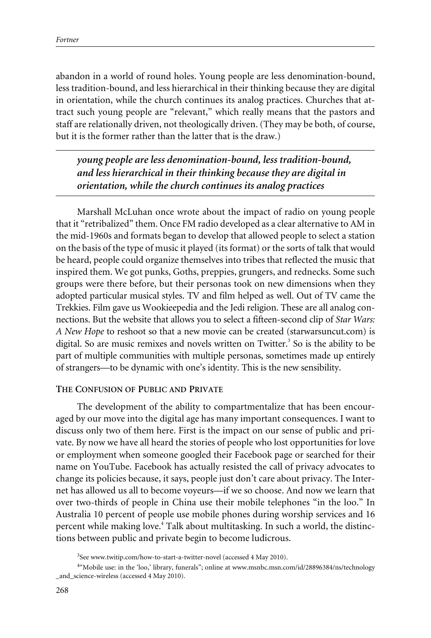abandon in a world of round holes. Young people are less denomination-bound, less tradition-bound, and less hierarchical in their thinking because they are digital in orientation, while the church continues its analog practices. Churches that attract such young people are "relevant," which really means that the pastors and staff are relationally driven, not theologically driven. (They may be both, of course, but it is the former rather than the latter that is the draw.)

*young people are less denomination-bound, less tradition-bound, and less hierarchical in their thinking because they are digital in orientation, while the church continues its analog practices*

Marshall McLuhan once wrote about the impact of radio on young people that it "retribalized" them. Once FM radio developed as a clear alternative to AM in the mid-1960s and formats began to develop that allowed people to select a station on the basis of the type of music it played (its format) or the sorts of talk that would be heard, people could organize themselves into tribes that reflected the music that inspired them. We got punks, Goths, preppies, grungers, and rednecks. Some such groups were there before, but their personas took on new dimensions when they adopted particular musical styles. TV and film helped as well. Out of TV came the Trekkies. Film gave us Wookieepedia and the Jedi religion. These are all analog connections. But the website that allows you to select a fifteen-second clip of *Star Wars: A New Hope* to reshoot so that a new movie can be created (starwarsuncut.com) is digital. So are music remixes and novels written on Twitter.<sup>3</sup> So is the ability to be part of multiple communities with multiple personas, sometimes made up entirely of strangers—to be dynamic with one's identity. This is the new sensibility.

#### **THE CONFUSION OF PUBLIC AND PRIVATE**

The development of the ability to compartmentalize that has been encouraged by our move into the digital age has many important consequences. I want to discuss only two of them here. First is the impact on our sense of public and private. By now we have all heard the stories of people who lost opportunities for love or employment when someone googled their Facebook page or searched for their name on YouTube. Facebook has actually resisted the call of privacy advocates to change its policies because, it says, people just don't care about privacy. The Internet has allowed us all to become voyeurs—if we so choose. And now we learn that over two-thirds of people in China use their mobile telephones "in the loo." In Australia 10 percent of people use mobile phones during worship services and 16 percent while making love.4 Talk about multitasking. In such a world, the distinctions between public and private begin to become ludicrous.

<sup>&</sup>lt;sup>3</sup>See www.twitip.com/how-to-start-a-twitter-novel (accessed 4 May 2010).

<sup>4</sup> "Mobile use: in the 'loo,' library, funerals"; online at www.msnbc.msn.com/id/28896384/ns/technology \_and\_science-wireless (accessed 4 May 2010).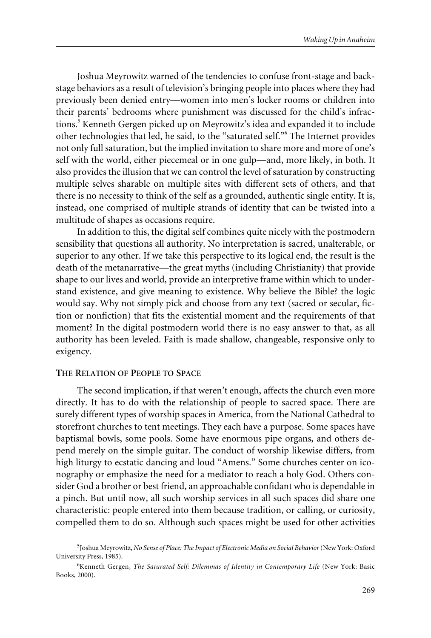Joshua Meyrowitz warned of the tendencies to confuse front-stage and backstage behaviors as a result of television's bringing people into places where they had previously been denied entry—women into men's locker rooms or children into their parents' bedrooms where punishment was discussed for the child's infractions.<sup>5</sup> Kenneth Gergen picked up on Meyrowitz's idea and expanded it to include other technologies that led, he said, to the "saturated self."6 The Internet provides not only full saturation, but the implied invitation to share more and more of one's self with the world, either piecemeal or in one gulp—and, more likely, in both. It also provides the illusion that we can control the level of saturation by constructing multiple selves sharable on multiple sites with different sets of others, and that there is no necessity to think of the self as a grounded, authentic single entity. It is, instead, one comprised of multiple strands of identity that can be twisted into a multitude of shapes as occasions require.

In addition to this, the digital self combines quite nicely with the postmodern sensibility that questions all authority. No interpretation is sacred, unalterable, or superior to any other. If we take this perspective to its logical end, the result is the death of the metanarrative—the great myths (including Christianity) that provide shape to our lives and world, provide an interpretive frame within which to understand existence, and give meaning to existence. Why believe the Bible? the logic would say. Why not simply pick and choose from any text (sacred or secular, fiction or nonfiction) that fits the existential moment and the requirements of that moment? In the digital postmodern world there is no easy answer to that, as all authority has been leveled. Faith is made shallow, changeable, responsive only to exigency.

#### **THE RELATION OF PEOPLE TO SPACE**

The second implication, if that weren't enough, affects the church even more directly. It has to do with the relationship of people to sacred space. There are surely different types of worship spaces in America, from the National Cathedral to storefront churches to tent meetings. They each have a purpose. Some spaces have baptismal bowls, some pools. Some have enormous pipe organs, and others depend merely on the simple guitar. The conduct of worship likewise differs, from high liturgy to ecstatic dancing and loud "Amens." Some churches center on iconography or emphasize the need for a mediator to reach a holy God. Others consider God a brother or best friend, an approachable confidant who is dependable in a pinch. But until now, all such worship services in all such spaces did share one characteristic: people entered into them because tradition, or calling, or curiosity, compelled them to do so. Although such spaces might be used for other activities

<sup>5</sup> Joshua Meyrowitz, *No Sense of Place: The Impact of Electronic Media on Social Behavior*(New York: Oxford University Press, 1985).

<sup>6</sup> Kenneth Gergen, *The Saturated Self: Dilemmas of Identity in Contemporary Life* (New York: Basic Books, 2000).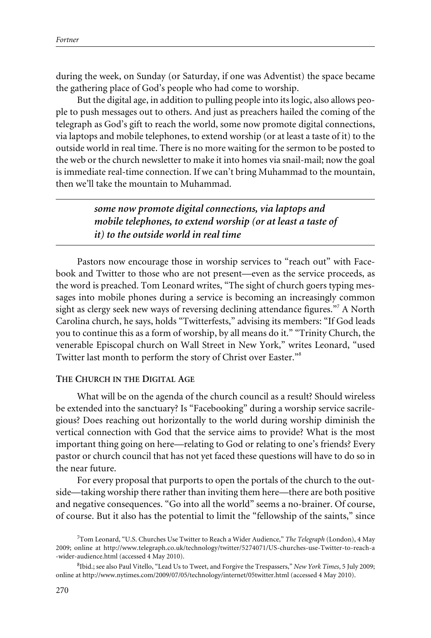during the week, on Sunday (or Saturday, if one was Adventist) the space became the gathering place of God's people who had come to worship.

But the digital age, in addition to pulling people into its logic, also allows people to push messages out to others. And just as preachers hailed the coming of the telegraph as God's gift to reach the world, some now promote digital connections, via laptops and mobile telephones, to extend worship (or at least a taste of it) to the outside world in real time. There is no more waiting for the sermon to be posted to the web or the church newsletter to make it into homes via snail-mail; now the goal is immediate real-time connection. If we can't bring Muhammad to the mountain, then we'll take the mountain to Muhammad.

> *some now promote digital connections, via laptops and mobile telephones, to extend worship (or at least a taste of it) to the outside world in real time*

Pastors now encourage those in worship services to "reach out" with Facebook and Twitter to those who are not present—even as the service proceeds, as the word is preached. Tom Leonard writes, "The sight of church goers typing messages into mobile phones during a service is becoming an increasingly common sight as clergy seek new ways of reversing declining attendance figures."<sup>7</sup> A North Carolina church, he says, holds "Twitterfests," advising its members: "If God leads you to continue this as a form of worship, by all means do it." "Trinity Church, the venerable Episcopal church on Wall Street in New York," writes Leonard, "used Twitter last month to perform the story of Christ over Easter."<sup>8</sup>

### **THE CHURCH IN THE DIGITAL AGE**

What will be on the agenda of the church council as a result? Should wireless be extended into the sanctuary? Is "Facebooking" during a worship service sacrilegious? Does reaching out horizontally to the world during worship diminish the vertical connection with God that the service aims to provide? What is the most important thing going on here—relating to God or relating to one's friends? Every pastor or church council that has not yet faced these questions will have to do so in the near future.

For every proposal that purports to open the portals of the church to the outside—taking worship there rather than inviting them here—there are both positive and negative consequences. "Go into all the world" seems a no-brainer. Of course, of course. But it also has the potential to limit the "fellowship of the saints," since

<sup>7</sup> Tom Leonard, "U.S. Churches Use Twitter to Reach a Wider Audience," *The Telegraph* (London), 4 May 2009; online at http://www.telegraph.co.uk/technology/twitter/5274071/US-churches-use-Twitter-to-reach-a -wider-audience.html (accessed 4 May 2010).

<sup>8</sup> Ibid.; see also Paul Vitello, "Lead Us to Tweet, and Forgive the Trespassers," *New York Times*, 5 July 2009; online at http://www.nytimes.com/2009/07/05/technology/internet/05twitter.html (accessed 4 May 2010).